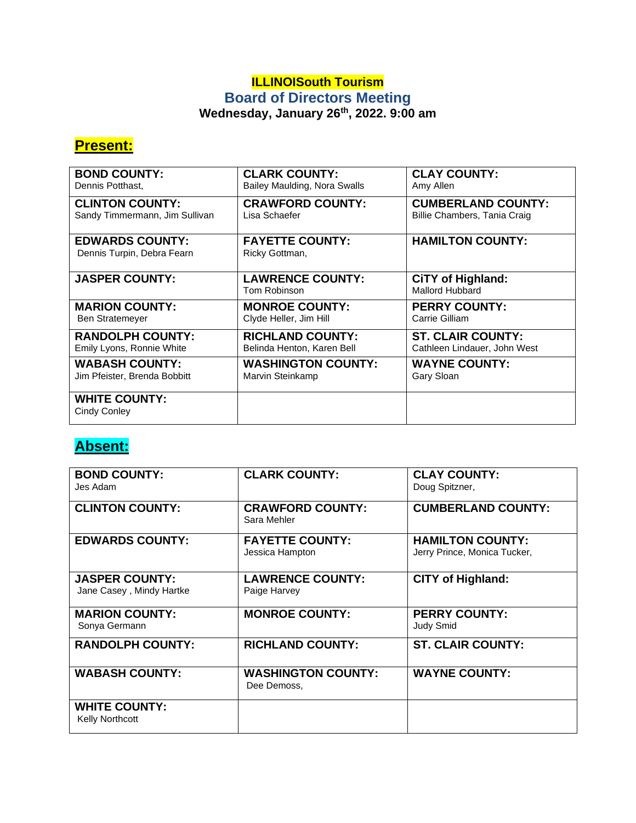### **ILLINOISouth Tourism Board of Directors Meeting Wednesday, January 26th, 2022. 9:00 am**

## **Present:**

| <b>BOND COUNTY:</b>                                  | <b>CLARK COUNTY:</b>                     | <b>CLAY COUNTY:</b>                         |
|------------------------------------------------------|------------------------------------------|---------------------------------------------|
| Dennis Potthast,                                     | Bailey Maulding, Nora Swalls             | Amy Allen                                   |
| <b>CLINTON COUNTY:</b>                               | <b>CRAWFORD COUNTY:</b>                  | <b>CUMBERLAND COUNTY:</b>                   |
| Sandy Timmermann, Jim Sullivan                       | Lisa Schaefer                            | Billie Chambers, Tania Craig                |
| <b>EDWARDS COUNTY:</b><br>Dennis Turpin, Debra Fearn | <b>FAYETTE COUNTY:</b><br>Ricky Gottman, | <b>HAMILTON COUNTY:</b>                     |
| <b>JASPER COUNTY:</b>                                | <b>LAWRENCE COUNTY:</b><br>Tom Robinson  | <b>CiTY of Highland:</b><br>Mallord Hubbard |
| <b>MARION COUNTY:</b>                                | <b>MONROE COUNTY:</b>                    | <b>PERRY COUNTY:</b>                        |
| Ben Stratemeyer                                      | Clyde Heller, Jim Hill                   | Carrie Gilliam                              |
| <b>RANDOLPH COUNTY:</b>                              | <b>RICHLAND COUNTY:</b>                  | <b>ST. CLAIR COUNTY:</b>                    |
| Emily Lyons, Ronnie White                            | Belinda Henton, Karen Bell               | Cathleen Lindauer, John West                |
| <b>WABASH COUNTY:</b>                                | <b>WASHINGTON COUNTY:</b>                | <b>WAYNE COUNTY:</b>                        |
| Jim Pfeister, Brenda Bobbitt                         | Marvin Steinkamp                         | Gary Sloan                                  |
| <b>WHITE COUNTY:</b><br>Cindy Conley                 |                                          |                                             |

# **Absent:**

| <b>BOND COUNTY:</b><br>Jes Adam                   | <b>CLARK COUNTY:</b>                      | <b>CLAY COUNTY:</b><br>Doug Spitzner,                   |
|---------------------------------------------------|-------------------------------------------|---------------------------------------------------------|
| <b>CLINTON COUNTY:</b>                            | <b>CRAWFORD COUNTY:</b><br>Sara Mehler    | <b>CUMBERLAND COUNTY:</b>                               |
| <b>EDWARDS COUNTY:</b>                            | <b>FAYETTE COUNTY:</b><br>Jessica Hampton | <b>HAMILTON COUNTY:</b><br>Jerry Prince, Monica Tucker, |
| <b>JASPER COUNTY:</b><br>Jane Casey, Mindy Hartke | <b>LAWRENCE COUNTY:</b><br>Paige Harvey   | <b>CITY of Highland:</b>                                |
| <b>MARION COUNTY:</b><br>Sonya Germann            | <b>MONROE COUNTY:</b>                     | <b>PERRY COUNTY:</b><br><b>Judy Smid</b>                |
| <b>RANDOLPH COUNTY:</b>                           | <b>RICHLAND COUNTY:</b>                   | <b>ST. CLAIR COUNTY:</b>                                |
| <b>WABASH COUNTY:</b>                             | <b>WASHINGTON COUNTY:</b><br>Dee Demoss,  | <b>WAYNE COUNTY:</b>                                    |
| <b>WHITE COUNTY:</b><br>Kelly Northcott           |                                           |                                                         |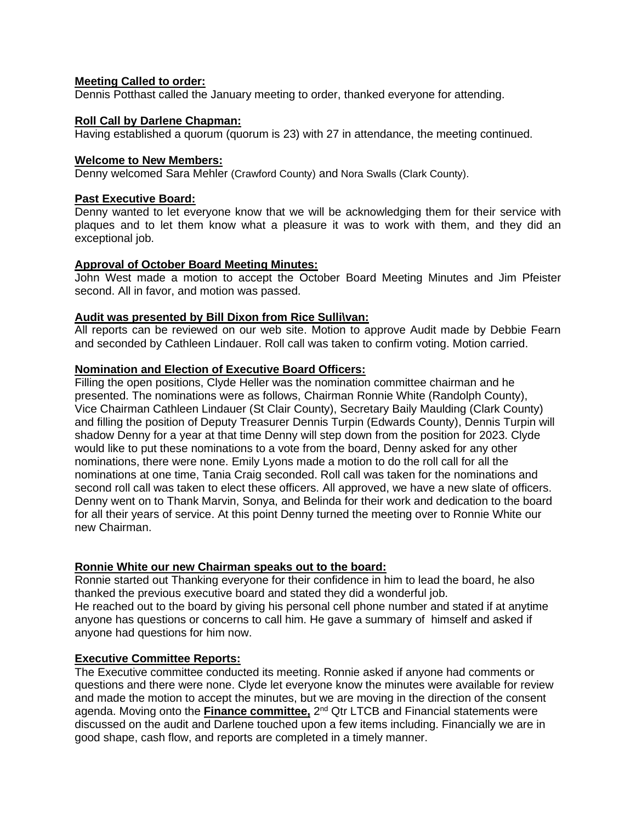#### **Meeting Called to order:**

Dennis Potthast called the January meeting to order, thanked everyone for attending.

#### **Roll Call by Darlene Chapman:**

Having established a quorum (quorum is 23) with 27 in attendance, the meeting continued.

#### **Welcome to New Members:**

Denny welcomed Sara Mehler (Crawford County) and Nora Swalls (Clark County).

#### **Past Executive Board:**

Denny wanted to let everyone know that we will be acknowledging them for their service with plaques and to let them know what a pleasure it was to work with them, and they did an exceptional job.

#### **Approval of October Board Meeting Minutes:**

John West made a motion to accept the October Board Meeting Minutes and Jim Pfeister second. All in favor, and motion was passed.

#### **Audit was presented by Bill Dixon from Rice Sulli\van:**

All reports can be reviewed on our web site. Motion to approve Audit made by Debbie Fearn and seconded by Cathleen Lindauer. Roll call was taken to confirm voting. Motion carried.

#### **Nomination and Election of Executive Board Officers:**

Filling the open positions, Clyde Heller was the nomination committee chairman and he presented. The nominations were as follows, Chairman Ronnie White (Randolph County), Vice Chairman Cathleen Lindauer (St Clair County), Secretary Baily Maulding (Clark County) and filling the position of Deputy Treasurer Dennis Turpin (Edwards County), Dennis Turpin will shadow Denny for a year at that time Denny will step down from the position for 2023. Clyde would like to put these nominations to a vote from the board, Denny asked for any other nominations, there were none. Emily Lyons made a motion to do the roll call for all the nominations at one time, Tania Craig seconded. Roll call was taken for the nominations and second roll call was taken to elect these officers. All approved, we have a new slate of officers. Denny went on to Thank Marvin, Sonya, and Belinda for their work and dedication to the board for all their years of service. At this point Denny turned the meeting over to Ronnie White our new Chairman.

#### **Ronnie White our new Chairman speaks out to the board:**

Ronnie started out Thanking everyone for their confidence in him to lead the board, he also thanked the previous executive board and stated they did a wonderful job. He reached out to the board by giving his personal cell phone number and stated if at anytime anyone has questions or concerns to call him. He gave a summary of himself and asked if anyone had questions for him now.

#### **Executive Committee Reports:**

The Executive committee conducted its meeting. Ronnie asked if anyone had comments or questions and there were none. Clyde let everyone know the minutes were available for review and made the motion to accept the minutes, but we are moving in the direction of the consent agenda. Moving onto the *Finance committee,* 2<sup>nd</sup> Qtr LTCB and Financial statements were discussed on the audit and Darlene touched upon a few items including. Financially we are in good shape, cash flow, and reports are completed in a timely manner.